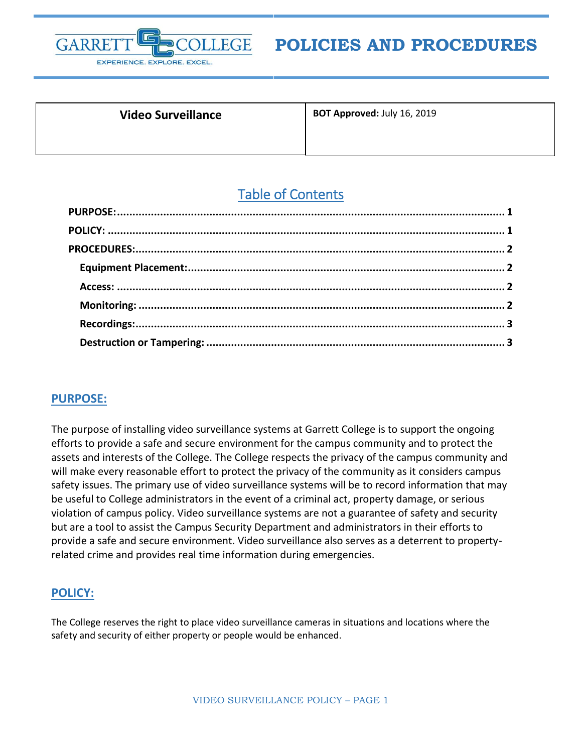

# **POLICIES AND PROCEDURES**

| <b>Video Surveillance</b> | BOT Approved: July 16, 2019 |
|---------------------------|-----------------------------|
|                           |                             |

# Table of Contents

## <span id="page-0-0"></span>**PURPOSE:**

The purpose of installing video surveillance systems at Garrett College is to support the ongoing efforts to provide a safe and secure environment for the campus community and to protect the assets and interests of the College. The College respects the privacy of the campus community and will make every reasonable effort to protect the privacy of the community as it considers campus safety issues. The primary use of video surveillance systems will be to record information that may be useful to College administrators in the event of a criminal act, property damage, or serious violation of campus policy. Video surveillance systems are not a guarantee of safety and security but are a tool to assist the Campus Security Department and administrators in their efforts to provide a safe and secure environment. Video surveillance also serves as a deterrent to propertyrelated crime and provides real time information during emergencies.

### <span id="page-0-1"></span>**POLICY:**

The College reserves the right to place video surveillance cameras in situations and locations where the safety and security of either property or people would be enhanced.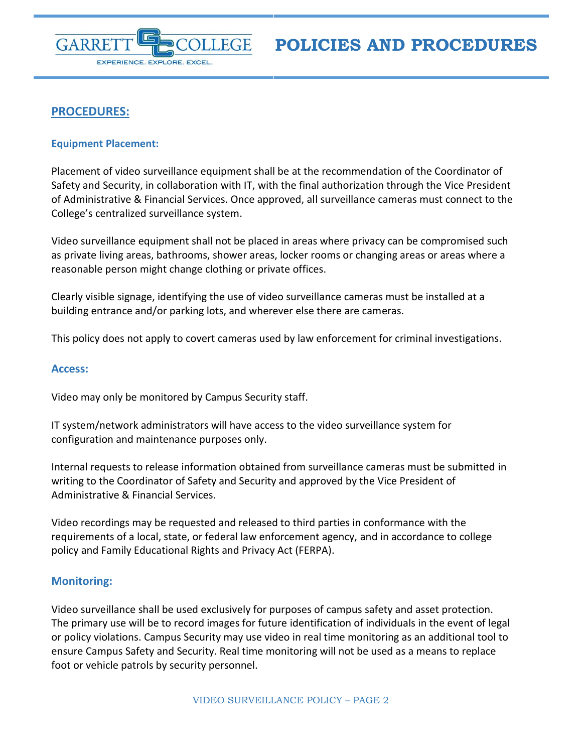

**POLICIES AND PROCEDURES**

## <span id="page-1-0"></span>**PROCEDURES:**

#### <span id="page-1-1"></span>**Equipment Placement:**

Placement of video surveillance equipment shall be at the recommendation of the Coordinator of Safety and Security, in collaboration with IT, with the final authorization through the Vice President of Administrative & Financial Services. Once approved, all surveillance cameras must connect to the College's centralized surveillance system.

Video surveillance equipment shall not be placed in areas where privacy can be compromised such as private living areas, bathrooms, shower areas, locker rooms or changing areas or areas where a reasonable person might change clothing or private offices.

Clearly visible signage, identifying the use of video surveillance cameras must be installed at a building entrance and/or parking lots, and wherever else there are cameras.

This policy does not apply to covert cameras used by law enforcement for criminal investigations.

#### <span id="page-1-2"></span>**Access:**

Video may only be monitored by Campus Security staff.

IT system/network administrators will have access to the video surveillance system for configuration and maintenance purposes only.

Internal requests to release information obtained from surveillance cameras must be submitted in writing to the Coordinator of Safety and Security and approved by the Vice President of Administrative & Financial Services.

Video recordings may be requested and released to third parties in conformance with the requirements of a local, state, or federal law enforcement agency, and in accordance to college policy and Family Educational Rights and Privacy Act (FERPA).

#### <span id="page-1-3"></span>**Monitoring:**

Video surveillance shall be used exclusively for purposes of campus safety and asset protection. The primary use will be to record images for future identification of individuals in the event of legal or policy violations. Campus Security may use video in real time monitoring as an additional tool to ensure Campus Safety and Security. Real time monitoring will not be used as a means to replace foot or vehicle patrols by security personnel.